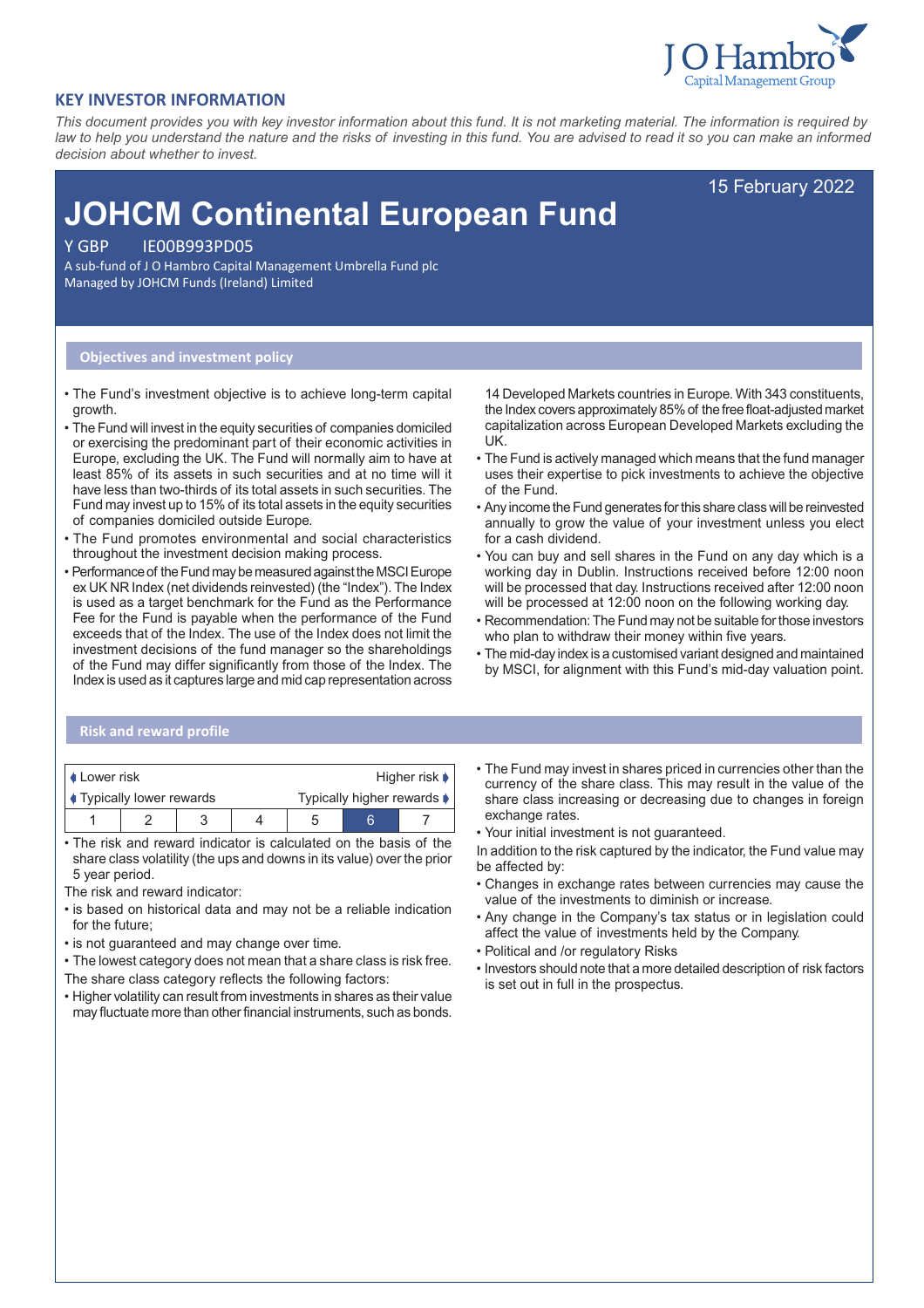

# **KEY INVESTOR INFORMATION**

*This document provides you with key investor information about this fund. It is not marketing material. The information is required by law to help you understand the nature and the risks of investing in this fund. You are advised to read it so you can make an informed decision about whether to invest.*

15 February 2022

# **JOHCM Continental European Fund**

Y GBP IE00B993PD05

A sub-fund of J O Hambro Capital Management Umbrella Fund plc Managed by JOHCM Funds (Ireland) Limited

## **Objectives and investment policy**

- The Fund's investment objective is to achieve long-term capital growth.
- The Fund will invest in the equity securities of companies domiciled or exercising the predominant part of their economic activities in Europe, excluding the UK. The Fund will normally aim to have at least 85% of its assets in such securities and at no time will it have less than two-thirds of its total assets in such securities. The Fund may invest up to 15% of its total assets in the equity securities of companies domiciled outside Europe.
- The Fund promotes environmental and social characteristics throughout the investment decision making process.
- Performance of the Fund may be measured against the MSCI Europe ex UK NR Index (net dividends reinvested) (the "Index"). The Index is used as a target benchmark for the Fund as the Performance Fee for the Fund is payable when the performance of the Fund exceeds that of the Index. The use of the Index does not limit the investment decisions of the fund manager so the shareholdings of the Fund may differ significantly from those of the Index. The Index is used as it captures large and mid cap representation across

14 Developed Markets countries in Europe. With 343 constituents, the Index covers approximately 85% of the free float-adjusted market capitalization across European Developed Markets excluding the UK.

- The Fund is actively managed which means that the fund manager uses their expertise to pick investments to achieve the objective of the Fund.
- Any income the Fund generates for this share class will be reinvested annually to grow the value of your investment unless you elect for a cash dividend.
- You can buy and sell shares in the Fund on any day which is a working day in Dublin. Instructions received before 12:00 noon will be processed that day. Instructions received after 12:00 noon will be processed at 12:00 noon on the following working day.
- Recommendation: The Fund may not be suitable for those investors who plan to withdraw their money within five years.
- The mid-day index is a customised variant designed and maintained by MSCI, for alignment with this Fund's mid-day valuation point.

# **Risk and reward profile**

| I ∎ Lower risk                 |  |  |  |                            |  | Higher risk $\blacktriangleright$ |
|--------------------------------|--|--|--|----------------------------|--|-----------------------------------|
| <b>Typically lower rewards</b> |  |  |  | Typically higher rewards ♦ |  |                                   |
|                                |  |  |  | 5                          |  |                                   |

• The risk and reward indicator is calculated on the basis of the share class volatility (the ups and downs in its value) over the prior 5 year period.

The risk and reward indicator:

- is based on historical data and may not be a reliable indication for the future;
- is not guaranteed and may change over time.
- The lowest category does not mean that a share class is risk free.
- The share class category reflects the following factors:
- Higher volatility can result from investments in shares as their value may fluctuate more than other financial instruments, such as bonds.
- The Fund may invest in shares priced in currencies other than the currency of the share class. This may result in the value of the share class increasing or decreasing due to changes in foreign exchange rates.
- Your initial investment is not guaranteed.

In addition to the risk captured by the indicator, the Fund value may be affected by:

- Changes in exchange rates between currencies may cause the value of the investments to diminish or increase.
- Any change in the Company's tax status or in legislation could affect the value of investments held by the Company.
- Political and /or regulatory Risks
- Investors should note that a more detailed description of risk factors is set out in full in the prospectus.